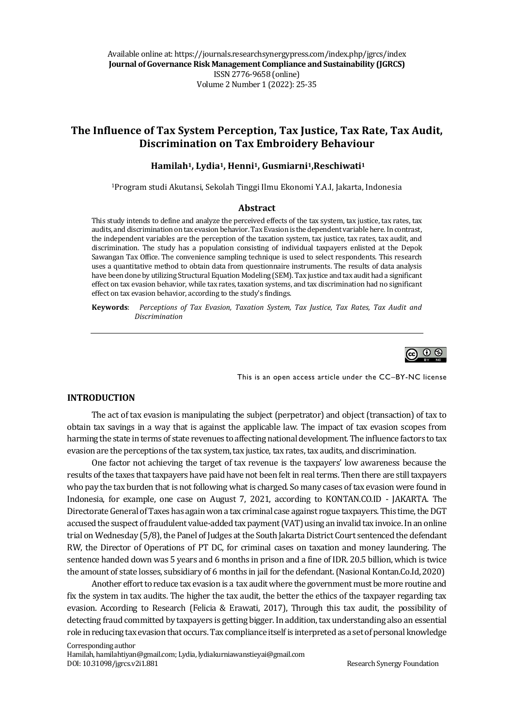# **The Influence of Tax System Perception, Tax Justice, Tax Rate, Tax Audit, Discrimination on Tax Embroidery Behaviour**

#### **Hamilah1, Lydia1, Henni1, Gusmiarni1,Reschiwati<sup>1</sup>**

<sup>1</sup>Program studi Akutansi, Sekolah Tinggi Ilmu Ekonomi Y.A.I, Jakarta, Indonesia

#### **Abstract**

This study intends to define and analyze the perceived effects of the tax system, tax justice, tax rates, tax audits, and discrimination on tax evasion behavior. Tax Evasion is the dependent variable here. In contrast, the independent variables are the perception of the taxation system, tax justice, tax rates, tax audit, and discrimination. The study has a population consisting of individual taxpayers enlisted at the Depok Sawangan Tax Office. The convenience sampling technique is used to select respondents. This research uses a quantitative method to obtain data from questionnaire instruments. The results of data analysis have been done by utilizing Structural Equation Modeling (SEM). Tax justice and tax audit had a significant effect on tax evasion behavior, while tax rates, taxation systems, and tax discrimination had no significant effect on tax evasion behavior, according to the study's findings.

**Keywords**: *Perceptions of Tax Evasion, Taxation System, Tax Justice, Tax Rates, Tax Audit and Discrimination*



This is an open access article under the CC–BY-NC license

#### **INTRODUCTION**

The act of tax evasion is manipulating the subject (perpetrator) and object (transaction) of tax to obtain tax savings in a way that is against the applicable law. The impact of tax evasion scopes from harming the state in terms of state revenues to affecting national development. The influence factors to tax evasion are the perceptions of the tax system, tax justice, tax rates, tax audits, and discrimination.

One factor not achieving the target of tax revenue is the taxpayers' low awareness because the results of the taxes that taxpayers have paid have not been felt in real terms. Then there are still taxpayers who pay the tax burden that is not following what is charged. So many cases of tax evasion were found in Indonesia, for example, one case on August 7, 2021, according to KONTAN.CO.ID - JAKARTA. The Directorate General of Taxes has again won a tax criminal case against rogue taxpayers. This time, the DGT accused the suspect of fraudulent value-added tax payment (VAT) using an invalid tax invoice. In an online trial on Wednesday (5/8), the Panel of Judges at the South Jakarta District Court sentenced the defendant RW, the Director of Operations of PT DC, for criminal cases on taxation and money laundering. The sentence handed down was 5 years and 6 months in prison and a fine of IDR. 20.5 billion, which is twice the amount of state losses, subsidiary of 6 months in jail for the defendant. (Nasional Kontan.Co.Id, 2020)

Another effort to reduce tax evasion is a tax audit where the government must be more routine and fix the system in tax audits. The higher the tax audit, the better the ethics of the taxpayer regarding tax evasion. According to Research (Felicia & Erawati, 2017), Through this tax audit, the possibility of detecting fraud committed by taxpayers is getting bigger. In addition, tax understanding also an essential role in reducing tax evasion that occurs. Tax compliance itself is interpreted as a set of personal knowledge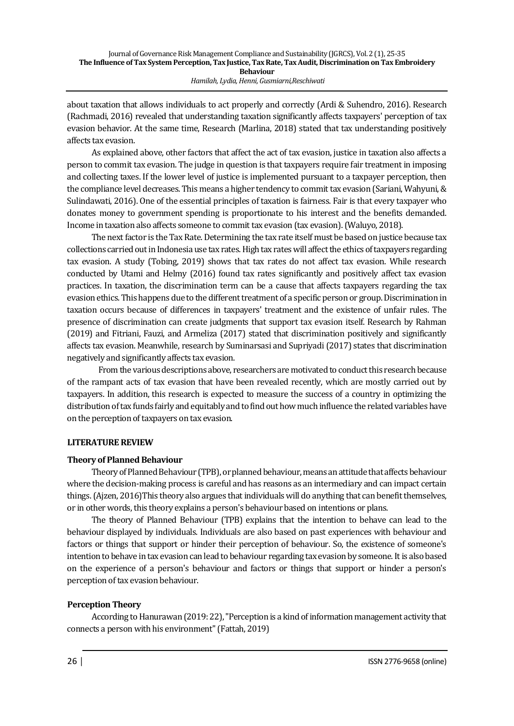about taxation that allows individuals to act properly and correctly (Ardi & Suhendro, 2016). Research (Rachmadi, 2016) revealed that understanding taxation significantly affects taxpayers' perception of tax evasion behavior. At the same time, Research (Marlina, 2018) stated that tax understanding positively affects tax evasion.

As explained above, other factors that affect the act of tax evasion, justice in taxation also affects a person to commit tax evasion. The judge in question is that taxpayers require fair treatment in imposing and collecting taxes. If the lower level of justice is implemented pursuant to a taxpayer perception, then the compliance level decreases. This means a higher tendency to commit tax evasion (Sariani, Wahyuni, & Sulindawati, 2016). One of the essential principles of taxation is fairness. Fair is that every taxpayer who donates money to government spending is proportionate to his interest and the benefits demanded. Income in taxation also affects someone to commit tax evasion (tax evasion). (Waluyo, 2018).

The next factor is the Tax Rate. Determining the tax rate itself must be based on justice because tax collections carried out in Indonesia use tax rates. High tax rates will affect the ethics of taxpayers regarding tax evasion. A study (Tobing, 2019) shows that tax rates do not affect tax evasion. While research conducted by Utami and Helmy (2016) found tax rates significantly and positively affect tax evasion practices. In taxation, the discrimination term can be a cause that affects taxpayers regarding the tax evasion ethics. This happens due to the different treatment of a specific person or group. Discrimination in taxation occurs because of differences in taxpayers' treatment and the existence of unfair rules. The presence of discrimination can create judgments that support tax evasion itself. Research by Rahman (2019) and Fitriani, Fauzi, and Armeliza (2017) stated that discrimination positively and significantly affects tax evasion. Meanwhile, research by Suminarsasi and Supriyadi (2017) states that discrimination negatively and significantly affects tax evasion.

From the various descriptions above, researchers are motivated to conduct this research because of the rampant acts of tax evasion that have been revealed recently, which are mostly carried out by taxpayers. In addition, this research is expected to measure the success of a country in optimizing the distribution of tax funds fairly and equitably and to find out how much influence the related variables have on the perception of taxpayers on tax evasion.

#### **LITERATURE REVIEW**

#### **Theory of Planned Behaviour**

Theory of Planned Behaviour (TPB), or planned behaviour, means an attitude that affects behaviour where the decision-making process is careful and has reasons as an intermediary and can impact certain things. (Ajzen, 2016)This theory also argues that individuals will do anything that can benefit themselves, or in other words, this theory explains a person's behaviour based on intentions or plans.

The theory of Planned Behaviour (TPB) explains that the intention to behave can lead to the behaviour displayed by individuals. Individuals are also based on past experiences with behaviour and factors or things that support or hinder their perception of behaviour. So, the existence of someone's intention to behave in tax evasion can lead to behaviour regarding tax evasion by someone. It is also based on the experience of a person's behaviour and factors or things that support or hinder a person's perception of tax evasion behaviour.

#### **Perception Theory**

According to Hanurawan (2019: 22), "Perception is a kind of information management activity that connects a person with his environment" (Fattah, 2019)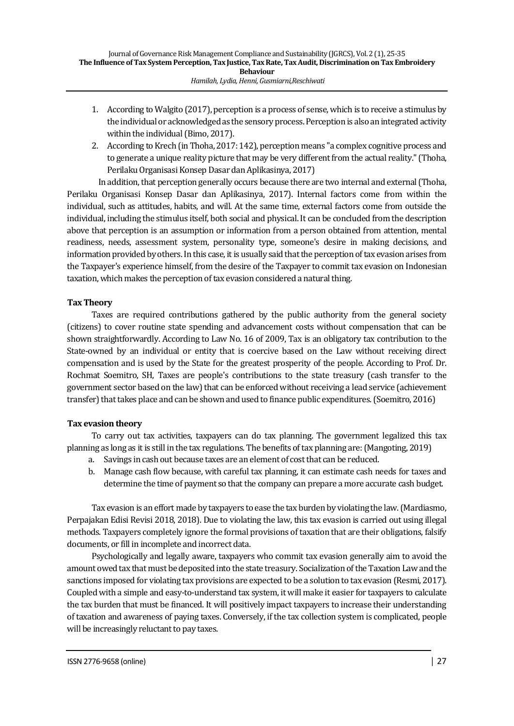- 1. According to Walgito (2017), perception is a process of sense, which is to receive a stimulus by the individual or acknowledged as the sensory process. Perception is also an integrated activity within the individual (Bimo, 2017).
- 2. According to Krech (in Thoha, 2017: 142), perception means "a complex cognitive process and to generate a unique reality picture that may be very different from the actual reality." (Thoha, Perilaku Organisasi Konsep Dasar dan Aplikasinya, 2017)

In addition, that perception generally occurs because there are two internal and external (Thoha, Perilaku Organisasi Konsep Dasar dan Aplikasinya, 2017). Internal factors come from within the individual, such as attitudes, habits, and will. At the same time, external factors come from outside the individual, including the stimulus itself, both social and physical. It can be concluded from the description above that perception is an assumption or information from a person obtained from attention, mental readiness, needs, assessment system, personality type, someone's desire in making decisions, and information provided by others. In this case, it is usually said that the perception of tax evasion arises from the Taxpayer's experience himself, from the desire of the Taxpayer to commit tax evasion on Indonesian taxation, which makes the perception of tax evasion considered a natural thing.

## **Tax Theory**

Taxes are required contributions gathered by the public authority from the general society (citizens) to cover routine state spending and advancement costs without compensation that can be shown straightforwardly. According to Law No. 16 of 2009, Tax is an obligatory tax contribution to the State-owned by an individual or entity that is coercive based on the Law without receiving direct compensation and is used by the State for the greatest prosperity of the people. According to Prof. Dr. Rochmat Soemitro, SH, Taxes are people's contributions to the state treasury (cash transfer to the government sector based on the law) that can be enforced without receiving a lead service (achievement transfer) that takes place and can be shown and used to finance public expenditures. (Soemitro, 2016)

# **Tax evasion theory**

To carry out tax activities, taxpayers can do tax planning. The government legalized this tax planning as long as it is still in the tax regulations. The benefits of tax planning are: (Mangoting, 2019)

- a. Savings in cash out because taxes are an element of cost that can be reduced.
- b. Manage cash flow because, with careful tax planning, it can estimate cash needs for taxes and determine the time of payment so that the company can prepare a more accurate cash budget.

Tax evasion is an effort made by taxpayers to ease the tax burden by violating the law. (Mardiasmo, Perpajakan Edisi Revisi 2018, 2018). Due to violating the law, this tax evasion is carried out using illegal methods. Taxpayers completely ignore the formal provisions of taxation that are their obligations, falsify documents, or fill in incomplete and incorrect data.

Psychologically and legally aware, taxpayers who commit tax evasion generally aim to avoid the amount owed tax that must be deposited into the state treasury. Socialization of the Taxation Law and the sanctions imposed for violating tax provisions are expected to be a solution to tax evasion (Resmi, 2017). Coupled with a simple and easy-to-understand tax system, it will make it easier for taxpayers to calculate the tax burden that must be financed. It will positively impact taxpayers to increase their understanding of taxation and awareness of paying taxes. Conversely, if the tax collection system is complicated, people will be increasingly reluctant to pay taxes.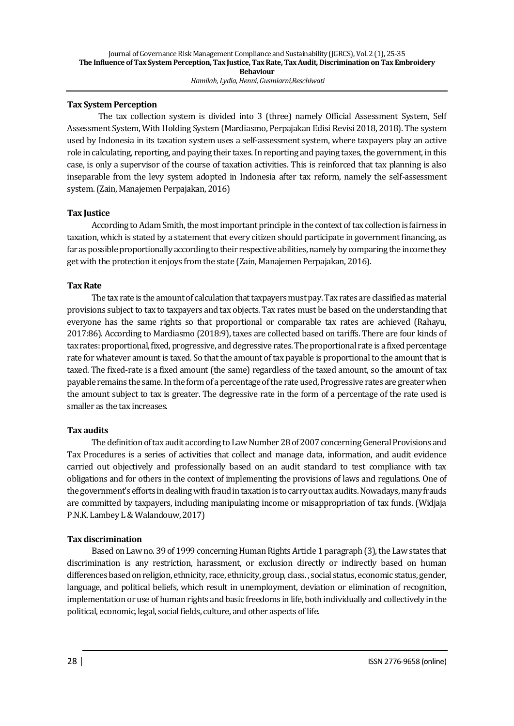## **Tax System Perception**

The tax collection system is divided into 3 (three) namely Official Assessment System, Self Assessment System, With Holding System (Mardiasmo, Perpajakan Edisi Revisi 2018, 2018). The system used by Indonesia in its taxation system uses a self-assessment system, where taxpayers play an active role in calculating, reporting, and paying their taxes. In reporting and paying taxes, the government, in this case, is only a supervisor of the course of taxation activities. This is reinforced that tax planning is also inseparable from the levy system adopted in Indonesia after tax reform, namely the self-assessment system. (Zain, Manajemen Perpajakan, 2016)

## **Tax Justice**

According to Adam Smith, the most important principle in the context of tax collection is fairness in taxation, which is stated by a statement that every citizen should participate in government financing, as far as possible proportionally according to their respective abilities, namely by comparing the income they get with the protection it enjoys from the state (Zain, Manajemen Perpajakan, 2016).

## **Tax Rate**

The tax rate is the amount of calculation that taxpayers must pay. Tax rates are classified as material provisions subject to tax to taxpayers and tax objects. Tax rates must be based on the understanding that everyone has the same rights so that proportional or comparable tax rates are achieved (Rahayu, 2017:86). According to Mardiasmo (2018:9), taxes are collected based on tariffs. There are four kinds of tax rates: proportional, fixed, progressive, and degressive rates. The proportional rate is a fixed percentage rate for whatever amount is taxed. So that the amount of tax payable is proportional to the amount that is taxed. The fixed-rate is a fixed amount (the same) regardless of the taxed amount, so the amount of tax payable remains the same. In the form of a percentage of the rate used, Progressive rates are greater when the amount subject to tax is greater. The degressive rate in the form of a percentage of the rate used is smaller as the tax increases.

## **Tax audits**

The definition of tax audit according to Law Number 28 of 2007 concerning General Provisions and Tax Procedures is a series of activities that collect and manage data, information, and audit evidence carried out objectively and professionally based on an audit standard to test compliance with tax obligations and for others in the context of implementing the provisions of laws and regulations. One of the government's efforts in dealing with fraud in taxation is to carry out tax audits. Nowadays, many frauds are committed by taxpayers, including manipulating income or misappropriation of tax funds. (Widjaja P.N.K. Lambey L & Walandouw, 2017)

## **Tax discrimination**

Based on Law no. 39 of 1999 concerning Human Rights Article 1 paragraph (3), the Law states that discrimination is any restriction, harassment, or exclusion directly or indirectly based on human differences based on religion, ethnicity, race, ethnicity, group, class. , social status, economic status, gender, language, and political beliefs, which result in unemployment, deviation or elimination of recognition, implementation or use of human rights and basic freedoms in life, both individually and collectively in the political, economic, legal, social fields, culture, and other aspects of life.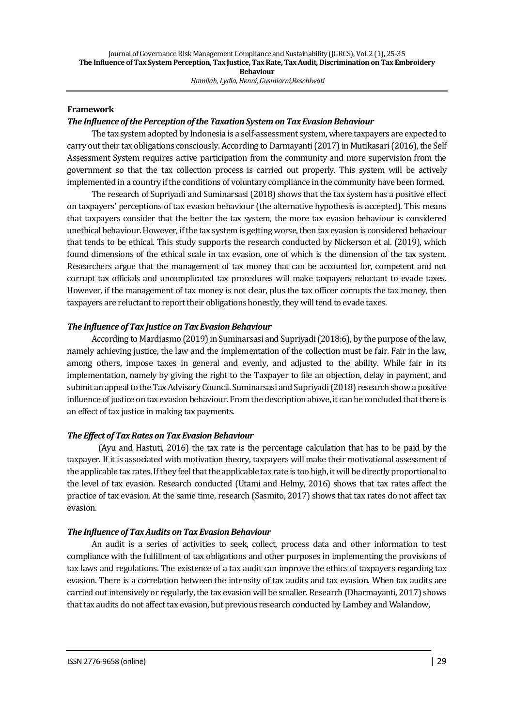### **Framework**

### *The Influence of the Perception of the Taxation System on Tax Evasion Behaviour*

The tax system adopted by Indonesia is a self-assessment system, where taxpayers are expected to carry out their tax obligations consciously. According to Darmayanti (2017) in Mutikasari (2016), the Self Assessment System requires active participation from the community and more supervision from the government so that the tax collection process is carried out properly. This system will be actively implemented in a country if the conditions of voluntary compliance in the community have been formed.

The research of Supriyadi and Suminarsasi (2018) shows that the tax system has a positive effect on taxpayers' perceptions of tax evasion behaviour (the alternative hypothesis is accepted). This means that taxpayers consider that the better the tax system, the more tax evasion behaviour is considered unethical behaviour. However, if the tax system is getting worse, then tax evasion is considered behaviour that tends to be ethical. This study supports the research conducted by Nickerson et al. (2019), which found dimensions of the ethical scale in tax evasion, one of which is the dimension of the tax system. Researchers argue that the management of tax money that can be accounted for, competent and not corrupt tax officials and uncomplicated tax procedures will make taxpayers reluctant to evade taxes. However, if the management of tax money is not clear, plus the tax officer corrupts the tax money, then taxpayers are reluctant to report their obligations honestly, they will tend to evade taxes.

## *The Influence of Tax Justice on Tax Evasion Behaviour*

According to Mardiasmo (2019) in Suminarsasi and Supriyadi (2018:6), by the purpose of the law, namely achieving justice, the law and the implementation of the collection must be fair. Fair in the law, among others, impose taxes in general and evenly, and adjusted to the ability. While fair in its implementation, namely by giving the right to the Taxpayer to file an objection, delay in payment, and submit an appeal to the Tax Advisory Council. Suminarsasi and Supriyadi (2018) research show a positive influence of justice on tax evasion behaviour. From the description above, it can be concluded that there is an effect of tax justice in making tax payments.

## *The Effect of Tax Rates on Tax Evasion Behaviour*

(Ayu and Hastuti, 2016) the tax rate is the percentage calculation that has to be paid by the taxpayer. If it is associated with motivation theory, taxpayers will make their motivational assessment of the applicable tax rates. If they feel that the applicable tax rate is too high, it will be directly proportional to the level of tax evasion. Research conducted (Utami and Helmy, 2016) shows that tax rates affect the practice of tax evasion. At the same time, research (Sasmito, 2017) shows that tax rates do not affect tax evasion.

#### *The Influence of Tax Audits on Tax Evasion Behaviour*

An audit is a series of activities to seek, collect, process data and other information to test compliance with the fulfillment of tax obligations and other purposes in implementing the provisions of tax laws and regulations. The existence of a tax audit can improve the ethics of taxpayers regarding tax evasion. There is a correlation between the intensity of tax audits and tax evasion. When tax audits are carried out intensively or regularly, the tax evasion will be smaller. Research (Dharmayanti, 2017) shows that tax audits do not affect tax evasion, but previous research conducted by Lambey and Walandow,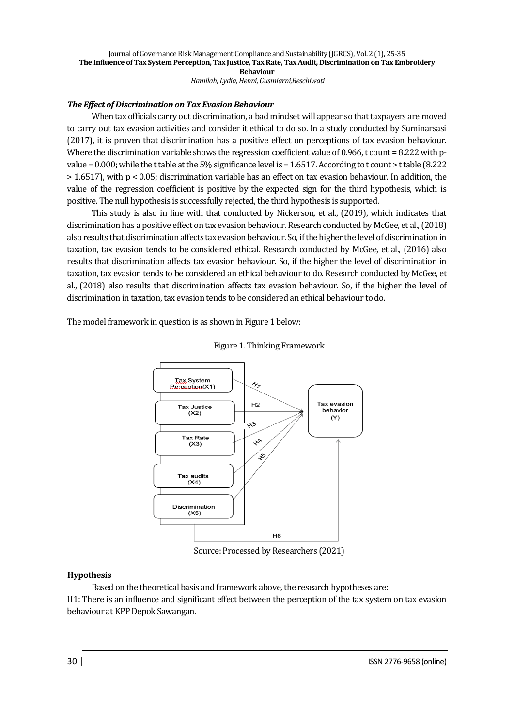## *The Effect of Discrimination on Tax Evasion Behaviour*

When tax officials carry out discrimination, a bad mindset will appear so that taxpayers are moved to carry out tax evasion activities and consider it ethical to do so. In a study conducted by Suminarsasi (2017), it is proven that discrimination has a positive effect on perceptions of tax evasion behaviour. Where the discrimination variable shows the regression coefficient value of 0.966, t count = 8.222 with pvalue = 0.000; while the t table at the 5% significance level is = 1.6517. According to t count > t table (8.222 > 1.6517), with p < 0.05; discrimination variable has an effect on tax evasion behaviour. In addition, the value of the regression coefficient is positive by the expected sign for the third hypothesis, which is positive. The null hypothesis is successfully rejected, the third hypothesis is supported.

This study is also in line with that conducted by Nickerson, et al., (2019), which indicates that discrimination has a positive effect on tax evasion behaviour. Research conducted by McGee, et al., (2018) also results that discrimination affects tax evasion behaviour. So, if the higher the level of discrimination in taxation, tax evasion tends to be considered ethical. Research conducted by McGee, et al., (2016) also results that discrimination affects tax evasion behaviour. So, if the higher the level of discrimination in taxation, tax evasion tends to be considered an ethical behaviour to do. Research conducted by McGee, et al., (2018) also results that discrimination affects tax evasion behaviour. So, if the higher the level of discrimination in taxation, tax evasion tends to be considered an ethical behaviour to do.

The model framework in question is as shown in Figure 1 below:



Figure 1. Thinking Framework

Source: Processed by Researchers (2021)

## **Hypothesis**

Based on the theoretical basis and framework above, the research hypotheses are:

H1: There is an influence and significant effect between the perception of the tax system on tax evasion behaviour at KPP Depok Sawangan.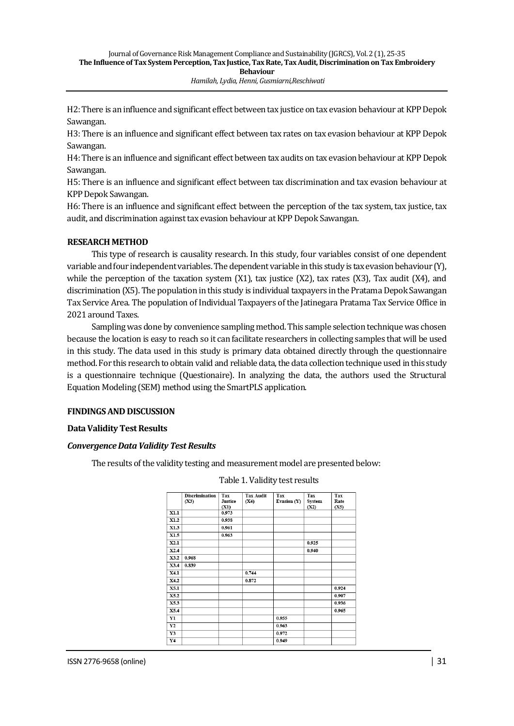H2:There is an influence and significant effect between tax justice on tax evasion behaviour at KPP Depok Sawangan.

H3: There is an influence and significant effect between tax rates on tax evasion behaviour at KPP Depok Sawangan.

H4: There is an influence and significant effect between tax audits on tax evasion behaviour at KPP Depok Sawangan.

H5: There is an influence and significant effect between tax discrimination and tax evasion behaviour at KPP Depok Sawangan.

H6: There is an influence and significant effect between the perception of the tax system, tax justice, tax audit, and discrimination against tax evasion behaviour at KPP Depok Sawangan.

#### **RESEARCH METHOD**

This type of research is causality research. In this study, four variables consist of one dependent variable and four independent variables. The dependent variable in this study is tax evasion behaviour (Y), while the perception of the taxation system (X1), tax justice (X2), tax rates (X3), Tax audit (X4), and discrimination (X5). The population in this study is individual taxpayers in the Pratama Depok Sawangan Tax Service Area. The population of Individual Taxpayers of the Jatinegara Pratama Tax Service Office in 2021 around Taxes.

Sampling was done by convenience sampling method. This sample selection technique was chosen because the location is easy to reach so it can facilitate researchers in collecting samples that will be used in this study. The data used in this study is primary data obtained directly through the questionnaire method. For this research to obtain valid and reliable data, the data collection technique used in this study is a questionnaire technique (Questionaire). In analyzing the data, the authors used the Structural Equation Modeling (SEM) method using the SmartPLS application.

#### **FINDINGS AND DISCUSSION**

#### **Data Validity Test Results**

#### *Convergence Data Validity Test Results*

The results of the validity testing and measurement model are presented below:

|                | <b>Discrimination</b><br>(X3) | Tax<br><b>Justice</b><br>(X1) | <b>Tax Audit</b><br>(X4) | Tax<br>Evasion (Y) | Tax<br>System<br>(X2) | Tax<br>Rate<br>(X5) |
|----------------|-------------------------------|-------------------------------|--------------------------|--------------------|-----------------------|---------------------|
| X1.1           |                               | 0.973                         |                          |                    |                       |                     |
| X1.2           |                               | 0.938                         |                          |                    |                       |                     |
| X1.3           |                               | 0.961                         |                          |                    |                       |                     |
| X1.5           |                               | 0.963                         |                          |                    |                       |                     |
| X2.1           |                               |                               |                          |                    | 0.925                 |                     |
| X2.4           |                               |                               |                          |                    | 0.940                 |                     |
| X3.2           | 0.968                         |                               |                          |                    |                       |                     |
| X3.4           | 0.839                         |                               |                          |                    |                       |                     |
| X4.1           |                               |                               | 0.744                    |                    |                       |                     |
| X4.2           |                               |                               | 0.872                    |                    |                       |                     |
| X5.1           |                               |                               |                          |                    |                       | 0.924               |
| X5.2           |                               |                               |                          |                    |                       | 0.907               |
| X5.3           |                               |                               |                          |                    |                       | 0.936               |
| X5.4           |                               |                               |                          |                    |                       | 0.965               |
| Yl             |                               |                               |                          | 0.955              |                       |                     |
| Y2             |                               |                               |                          | 0.963              |                       |                     |
| $\mathbf{Y}3$  |                               |                               |                          | 0.972              |                       |                     |
| Y <sub>4</sub> |                               |                               |                          | 0.949              |                       |                     |

Table 1. Validity test results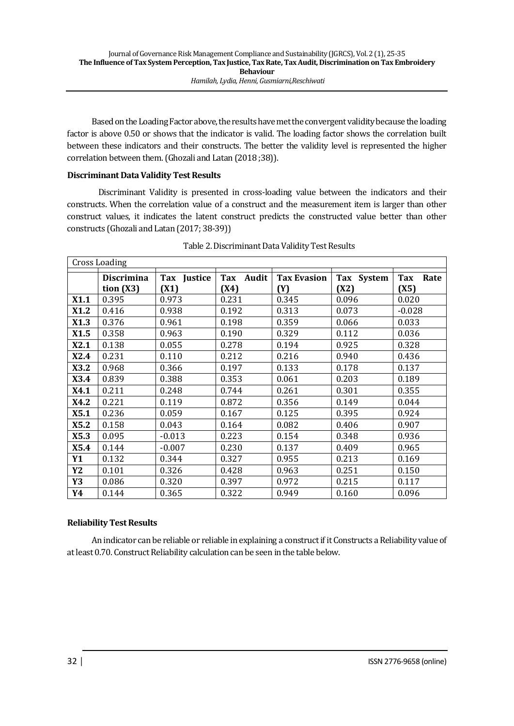Based on the Loading Factor above, the results have met the convergent validity because the loading factor is above 0.50 or shows that the indicator is valid. The loading factor shows the correlation built between these indicators and their constructs. The better the validity level is represented the higher correlation between them. (Ghozali and Latan (2018 ;38)).

## **Discriminant Data Validity Test Results**

Discriminant Validity is presented in cross-loading value between the indicators and their constructs. When the correlation value of a construct and the measurement item is larger than other construct values, it indicates the latent construct predicts the constructed value better than other constructs (Ghozali and Latan (2017; 38-39))

| Cross Loading |                                  |                     |                      |                           |                    |                     |
|---------------|----------------------------------|---------------------|----------------------|---------------------------|--------------------|---------------------|
|               | <b>Discrimina</b><br>tion $(X3)$ | Tax Justice<br>(X1) | Audit<br>Tax<br>(X4) | <b>Tax Evasion</b><br>(Y) | Tax System<br>(X2) | Tax<br>Rate<br>(X5) |
| X1.1          | 0.395                            | 0.973               | 0.231                | 0.345                     | 0.096              | 0.020               |
| X1.2          | 0.416                            | 0.938               | 0.192                | 0.313                     | 0.073              | $-0.028$            |
| X1.3          | 0.376                            | 0.961               | 0.198                | 0.359                     | 0.066              | 0.033               |
| X1.5          | 0.358                            | 0.963               | 0.190                | 0.329                     | 0.112              | 0.036               |
| X2.1          | 0.138                            | 0.055               | 0.278                | 0.194                     | 0.925              | 0.328               |
| X2.4          | 0.231                            | 0.110               | 0.212                | 0.216                     | 0.940              | 0.436               |
| X3.2          | 0.968                            | 0.366               | 0.197                | 0.133                     | 0.178              | 0.137               |
| X3.4          | 0.839                            | 0.388               | 0.353                | 0.061                     | 0.203              | 0.189               |
| X4.1          | 0.211                            | 0.248               | 0.744                | 0.261                     | 0.301              | 0.355               |
| X4.2          | 0.221                            | 0.119               | 0.872                | 0.356                     | 0.149              | 0.044               |
| X5.1          | 0.236                            | 0.059               | 0.167                | 0.125                     | 0.395              | 0.924               |
| X5.2          | 0.158                            | 0.043               | 0.164                | 0.082                     | 0.406              | 0.907               |
| X5.3          | 0.095                            | $-0.013$            | 0.223                | 0.154                     | 0.348              | 0.936               |
| X5.4          | 0.144                            | $-0.007$            | 0.230                | 0.137                     | 0.409              | 0.965               |
| Y1            | 0.132                            | 0.344               | 0.327                | 0.955                     | 0.213              | 0.169               |
| Y2            | 0.101                            | 0.326               | 0.428                | 0.963                     | 0.251              | 0.150               |
| Y3            | 0.086                            | 0.320               | 0.397                | 0.972                     | 0.215              | 0.117               |
| Y4            | 0.144                            | 0.365               | 0.322                | 0.949                     | 0.160              | 0.096               |

| Table 2. Discriminant Data Validity Test Results |  |  |
|--------------------------------------------------|--|--|
|                                                  |  |  |
|                                                  |  |  |

## **Reliability Test Results**

An indicator can be reliable or reliable in explaining a construct if it Constructs a Reliability value of at least 0.70. Construct Reliability calculation can be seen in the table below.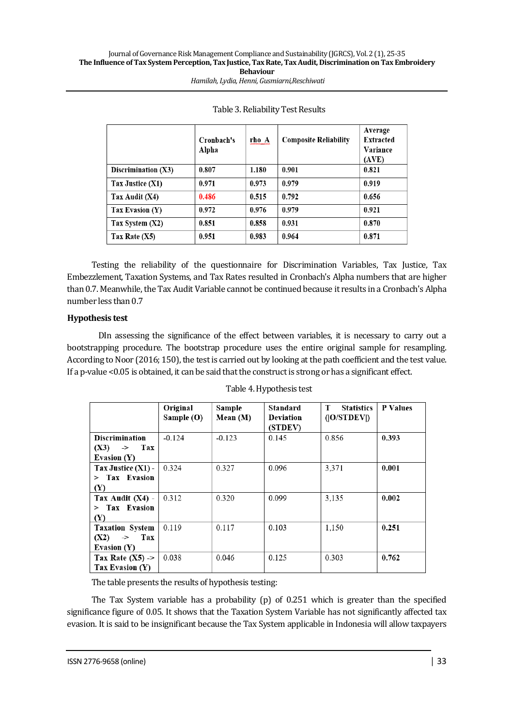|                       | Cronbach's<br>Alpha | rho A | <b>Composite Reliability</b> | Average<br><b>Extracted</b><br>Variance<br>(AVE) |
|-----------------------|---------------------|-------|------------------------------|--------------------------------------------------|
| Discrimination $(X3)$ | 0.807               | 1.180 | 0.901                        | 0.821                                            |
| Tax Justice (X1)      | 0.971               | 0.973 | 0.979                        | 0.919                                            |
| Tax Audit (X4)        | 0.486               | 0.515 | 0.792                        | 0.656                                            |
| Tax Evasion (Y)       | 0.972               | 0.976 | 0.979                        | 0.921                                            |
| Tax System $(X2)$     | 0.851               | 0.858 | 0.931                        | 0.870                                            |
| Tax Rate $(X5)$       | 0.951               | 0.983 | 0.964                        | 0.871                                            |

| Table 3. Reliability Test Results |  |
|-----------------------------------|--|
|-----------------------------------|--|

Testing the reliability of the questionnaire for Discrimination Variables, Tax Justice, Tax Embezzlement, Taxation Systems, and Tax Rates resulted in Cronbach's Alpha numbers that are higher than 0.7. Meanwhile, the Tax Audit Variable cannot be continued because it results in a Cronbach's Alpha number less than 0.7

## **Hypothesis test**

DIn assessing the significance of the effect between variables, it is necessary to carry out a bootstrapping procedure. The bootstrap procedure uses the entire original sample for resampling. According to Noor (2016; 150), the test is carried out by looking at the path coefficient and the test value. If a p-value <0.05 is obtained, it can be said that the construct is strong or has a significant effect.

|                                                                    | Original<br>Sample (O) | Sample<br>Mean (M) | Standard<br>Deviation<br>(STDEV) | т<br><b>Statistics</b><br>( O/STDEV ) | <b>P</b> Values |
|--------------------------------------------------------------------|------------------------|--------------------|----------------------------------|---------------------------------------|-----------------|
| <b>Discrimination</b><br>$(X3) \rightarrow$<br>Tax                 | $-0.124$               | $-0.123$           | 0.145                            | 0.856                                 | 0.393           |
| Evasion (Y)                                                        |                        |                    |                                  |                                       |                 |
| Tax Justice $(X1)$ -<br>$>$ Tax Evasion<br>(Y)                     | 0.324                  | 0.327              | 0.096                            | 3.371                                 | 0.001           |
| Tax Audit $(X4)$ -<br>$>$ Tax Evasion<br>(Y)                       | 0.312                  | 0.320              | 0.099                            | 3,135                                 | 0.002           |
| <b>Taxation System</b><br>$(X2) \rightarrow$<br>Tax<br>Evasion (Y) | 0.119                  | 0.117              | 0.103                            | 1.150                                 | 0.251           |
| Tax Rate $(X5)$ -><br>Tax Evasion (Y)                              | 0.038                  | 0.046              | 0.125                            | 0.303                                 | 0.762           |

Table 4. Hypothesis test

The table presents the results of hypothesis testing:

The Tax System variable has a probability (p) of 0.251 which is greater than the specified significance figure of 0.05. It shows that the Taxation System Variable has not significantly affected tax evasion. It is said to be insignificant because the Tax System applicable in Indonesia will allow taxpayers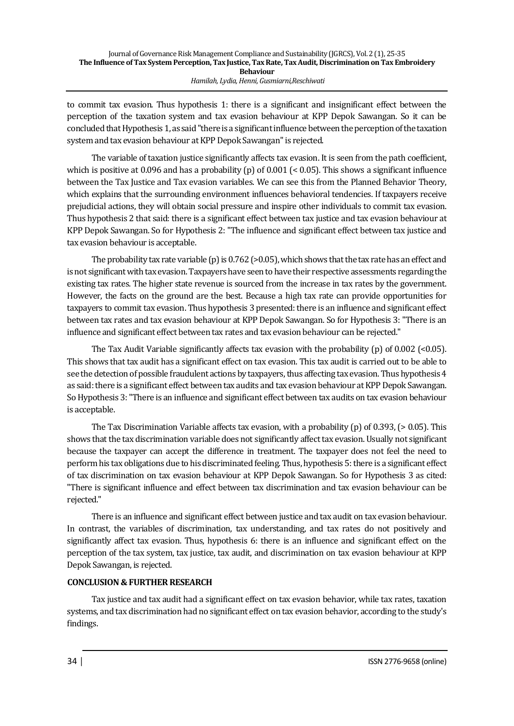to commit tax evasion. Thus hypothesis 1: there is a significant and insignificant effect between the perception of the taxation system and tax evasion behaviour at KPP Depok Sawangan. So it can be concluded that Hypothesis 1, as said "there is a significant influence between the perception of the taxation system and tax evasion behaviour at KPP Depok Sawangan" is rejected.

The variable of taxation justice significantly affects tax evasion. It is seen from the path coefficient, which is positive at 0.096 and has a probability (p) of  $0.001$  ( $0.005$ ). This shows a significant influence between the Tax Justice and Tax evasion variables. We can see this from the Planned Behavior Theory, which explains that the surrounding environment influences behavioral tendencies. If taxpayers receive prejudicial actions, they will obtain social pressure and inspire other individuals to commit tax evasion. Thus hypothesis 2 that said: there is a significant effect between tax justice and tax evasion behaviour at KPP Depok Sawangan. So for Hypothesis 2: "The influence and significant effect between tax justice and tax evasion behaviour is acceptable.

The probability tax rate variable (p) is  $0.762$  (>0.05), which shows that the tax rate has an effect and is not significant with tax evasion. Taxpayers have seen to have their respective assessments regarding the existing tax rates. The higher state revenue is sourced from the increase in tax rates by the government. However, the facts on the ground are the best. Because a high tax rate can provide opportunities for taxpayers to commit tax evasion. Thus hypothesis 3 presented: there is an influence and significant effect between tax rates and tax evasion behaviour at KPP Depok Sawangan. So for Hypothesis 3: "There is an influence and significant effect between tax rates and tax evasion behaviour can be rejected."

The Tax Audit Variable significantly affects tax evasion with the probability  $(p)$  of 0.002 (<0.05). This shows that tax audit has a significant effect on tax evasion. This tax audit is carried out to be able to see the detection of possible fraudulent actions by taxpayers, thus affecting tax evasion. Thus hypothesis 4 as said: there is a significant effect between tax audits and tax evasion behaviour at KPP Depok Sawangan. So Hypothesis 3: "There is an influence and significant effect between tax audits on tax evasion behaviour is acceptable.

The Tax Discrimination Variable affects tax evasion, with a probability (p) of 0.393, (> 0.05). This shows that the tax discrimination variable does not significantly affect tax evasion. Usually not significant because the taxpayer can accept the difference in treatment. The taxpayer does not feel the need to perform his tax obligations due to his discriminated feeling. Thus, hypothesis 5: there is a significant effect of tax discrimination on tax evasion behaviour at KPP Depok Sawangan. So for Hypothesis 3 as cited: "There is significant influence and effect between tax discrimination and tax evasion behaviour can be rejected."

There is an influence and significant effect between justice and tax audit on tax evasion behaviour. In contrast, the variables of discrimination, tax understanding, and tax rates do not positively and significantly affect tax evasion. Thus, hypothesis 6: there is an influence and significant effect on the perception of the tax system, tax justice, tax audit, and discrimination on tax evasion behaviour at KPP Depok Sawangan, is rejected.

## **CONCLUSION & FURTHER RESEARCH**

Tax justice and tax audit had a significant effect on tax evasion behavior, while tax rates, taxation systems, and tax discrimination had no significant effect on tax evasion behavior, according to the study's findings.